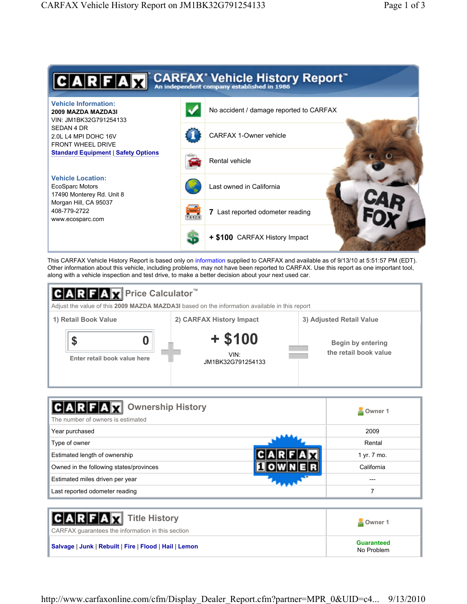

This CARFAX Vehicle History Report is based only on information supplied to CARFAX and available as of 9/13/10 at 5:51:57 PM (EDT). Other information about this vehicle, including problems, may not have been reported to CARFAX. Use this report as one important tool, along with a vehicle inspection and test drive, to make a better decision about your next used car.



| <b>Ownership History</b><br>The number of owners is estimated | Owner 1     |
|---------------------------------------------------------------|-------------|
| Year purchased                                                | 2009        |
| Type of owner                                                 | Rental      |
| Estimated length of ownership                                 | 1 yr. 7 mo. |
| Owned in the following states/provinces                       | California  |
| Estimated miles driven per year                               | ---         |
| Last reported odometer reading                                |             |

| <b>CARFAX</b> Title History<br>CARFAX quarantees the information in this section | Owner 1                         |
|----------------------------------------------------------------------------------|---------------------------------|
| Salvage   Junk   Rebuilt   Fire   Flood   Hail   Lemon                           | <b>Guaranteed</b><br>No Problem |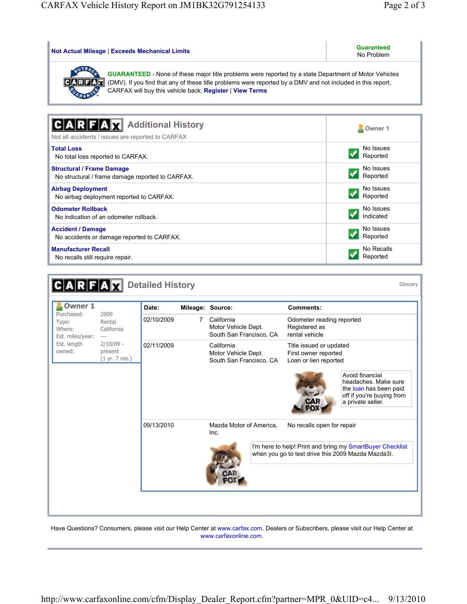| <b>Not Actual Mileage   Exceeds Mechanical Limits</b>                                                                                                                                                                                                                                   | <b>Guaranteed</b><br>No Problem |  |  |  |  |
|-----------------------------------------------------------------------------------------------------------------------------------------------------------------------------------------------------------------------------------------------------------------------------------------|---------------------------------|--|--|--|--|
| <b>GUARANTEED</b> - None of these major title problems were reported by a state Department of Motor Vehicles<br>(DMV). If you find that any of these title problems were reported by a DMV and not included in this report,<br>CARFAX will buy this vehicle back. Register   View Terms |                                 |  |  |  |  |
| <b>Additional History</b><br>Not all accidents / issues are reported to CARFAX                                                                                                                                                                                                          | Owner 1                         |  |  |  |  |
| <b>Total Loss</b>                                                                                                                                                                                                                                                                       | No Issues                       |  |  |  |  |
| No total loss reported to CARFAX.                                                                                                                                                                                                                                                       | Reported                        |  |  |  |  |
| <b>Structural / Frame Damage</b>                                                                                                                                                                                                                                                        | No Issues                       |  |  |  |  |
| No structural / frame damage reported to CARFAX.                                                                                                                                                                                                                                        | Reported                        |  |  |  |  |
| <b>Airbag Deployment</b>                                                                                                                                                                                                                                                                | No Issues                       |  |  |  |  |
| No airbag deployment reported to CARFAX.                                                                                                                                                                                                                                                | Reported                        |  |  |  |  |
| <b>Odometer Rollback</b>                                                                                                                                                                                                                                                                | No Issues                       |  |  |  |  |
| No indication of an odometer rollback.                                                                                                                                                                                                                                                  | Indicated                       |  |  |  |  |
| <b>Accident / Damage</b>                                                                                                                                                                                                                                                                | No Issues                       |  |  |  |  |
| No accidents or damage reported to CARFAX.                                                                                                                                                                                                                                              | Reported                        |  |  |  |  |
| <b>Manufacturer Recall</b>                                                                                                                                                                                                                                                              | No Recalls                      |  |  |  |  |
| No recalls still require repair.                                                                                                                                                                                                                                                        | Reported                        |  |  |  |  |

| $C$ ARFA $R$                                                                                 |                                                                                     | <b>Detailed History</b> |   |                                                              |                                                                                                                  |                                                              | Glossary                                                                                                        |
|----------------------------------------------------------------------------------------------|-------------------------------------------------------------------------------------|-------------------------|---|--------------------------------------------------------------|------------------------------------------------------------------------------------------------------------------|--------------------------------------------------------------|-----------------------------------------------------------------------------------------------------------------|
| <b>Owner 1</b><br>Purchased:<br>Type:<br>Where:<br>Est. miles/year:<br>Est. length<br>owned: |                                                                                     | Date:                   |   | Mileage: Source:                                             |                                                                                                                  | <b>Comments:</b>                                             |                                                                                                                 |
|                                                                                              | 2009<br>Rental<br>California<br>$\cdots$<br>$2/10/09$ -<br>present<br>(1 yr. 7 mo.) | 02/10/2009              | 7 | California<br>Motor Vehicle Dept.<br>South San Francisco, CA |                                                                                                                  | Odometer reading reported<br>Registered as<br>rental vehicle |                                                                                                                 |
|                                                                                              |                                                                                     | 02/11/2009              |   | California<br>Motor Vehicle Dept.<br>South San Francisco, CA | Title issued or updated<br>First owner reported<br>Loan or lien reported<br>Avoid financial<br>a private seller. |                                                              | headaches. Make sure<br>the loan has been paid<br>off if you're buying from                                     |
|                                                                                              |                                                                                     | 09/13/2010              |   | Mazda Motor of America,<br>Inc.                              |                                                                                                                  | No recalls open for repair                                   | I'm here to help! Print and bring my SmartBuyer Checklist<br>when you go to test drive this 2009 Mazda Mazda3I. |

Have Questions? Consumers, please visit our Help Center at www.carfax.com. Dealers or Subscribers, please visit our Help Center at www.carfaxonline.com.